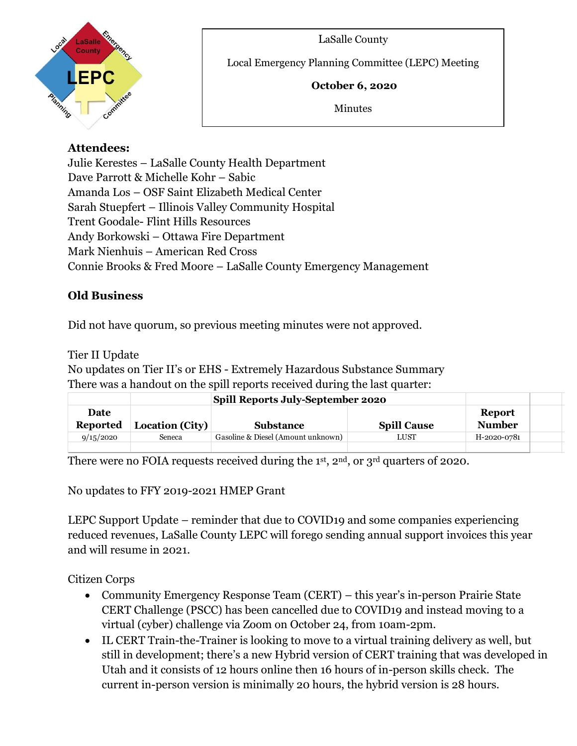



Local Emergency Planning Committee (LEPC) Meeting

### **October 6, 2020**

Minutes

## **Attendees:**

Julie Kerestes – LaSalle County Health Department Dave Parrott & Michelle Kohr – Sabic Amanda Los – OSF Saint Elizabeth Medical Center Sarah Stuepfert – Illinois Valley Community Hospital Trent Goodale- Flint Hills Resources Andy Borkowski – Ottawa Fire Department Mark Nienhuis – American Red Cross Connie Brooks & Fred Moore – LaSalle County Emergency Management

 $\overline{a}$ 

# **Old Business**

Did not have quorum, so previous meeting minutes were not approved.

Tier II Update

No updates on Tier II's or EHS - Extremely Hazardous Substance Summary There was a handout on the spill reports received during the last quarter:

|                 | <b>Spill Reports July-September 2020</b> |                                    |                    |               |  |
|-----------------|------------------------------------------|------------------------------------|--------------------|---------------|--|
| Date            |                                          |                                    |                    | <b>Report</b> |  |
| <b>Reported</b> | Location (City)                          | <b>Substance</b>                   | <b>Spill Cause</b> | <b>Number</b> |  |
| 9/15/2020       | Seneca                                   | Gasoline & Diesel (Amount unknown) | LUST               | H-2020-0781   |  |
|                 |                                          |                                    |                    |               |  |

There were no FOIA requests received during the 1st, 2<sup>nd</sup>, or 3<sup>rd</sup> quarters of 2020.

No updates to FFY 2019-2021 HMEP Grant

LEPC Support Update – reminder that due to COVID19 and some companies experiencing reduced revenues, LaSalle County LEPC will forego sending annual support invoices this year and will resume in 2021.

Citizen Corps

- Community Emergency Response Team (CERT) this year's in-person Prairie State CERT Challenge (PSCC) has been cancelled due to COVID19 and instead moving to a virtual (cyber) challenge via Zoom on October 24, from 10am-2pm.
- IL CERT Train-the-Trainer is looking to move to a virtual training delivery as well, but still in development; there's a new Hybrid version of CERT training that was developed in Utah and it consists of 12 hours online then 16 hours of in-person skills check. The current in-person version is minimally 20 hours, the hybrid version is 28 hours.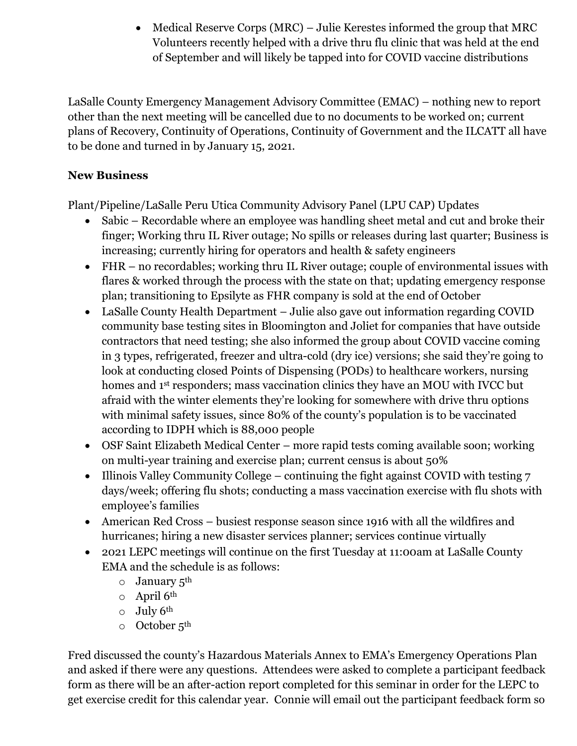• Medical Reserve Corps (MRC) – Julie Kerestes informed the group that MRC Volunteers recently helped with a drive thru flu clinic that was held at the end of September and will likely be tapped into for COVID vaccine distributions

LaSalle County Emergency Management Advisory Committee (EMAC) – nothing new to report other than the next meeting will be cancelled due to no documents to be worked on; current plans of Recovery, Continuity of Operations, Continuity of Government and the ILCATT all have to be done and turned in by January 15, 2021.

### **New Business**

Plant/Pipeline/LaSalle Peru Utica Community Advisory Panel (LPU CAP) Updates

- Sabic Recordable where an employee was handling sheet metal and cut and broke their finger; Working thru IL River outage; No spills or releases during last quarter; Business is increasing; currently hiring for operators and health & safety engineers
- FHR no recordables; working thru IL River outage; couple of environmental issues with flares & worked through the process with the state on that; updating emergency response plan; transitioning to Epsilyte as FHR company is sold at the end of October
- LaSalle County Health Department Julie also gave out information regarding COVID community base testing sites in Bloomington and Joliet for companies that have outside contractors that need testing; she also informed the group about COVID vaccine coming in 3 types, refrigerated, freezer and ultra-cold (dry ice) versions; she said they're going to look at conducting closed Points of Dispensing (PODs) to healthcare workers, nursing homes and 1st responders; mass vaccination clinics they have an MOU with IVCC but afraid with the winter elements they're looking for somewhere with drive thru options with minimal safety issues, since 80% of the county's population is to be vaccinated according to IDPH which is 88,000 people
- OSF Saint Elizabeth Medical Center more rapid tests coming available soon; working on multi-year training and exercise plan; current census is about 50%
- Illinois Valley Community College continuing the fight against COVID with testing 7 days/week; offering flu shots; conducting a mass vaccination exercise with flu shots with employee's families
- American Red Cross busiest response season since 1916 with all the wildfires and hurricanes; hiring a new disaster services planner; services continue virtually
- 2021 LEPC meetings will continue on the first Tuesday at 11:00am at LaSalle County EMA and the schedule is as follows:
	- $\circ$  January  $5^{\text{th}}$
	- o April 6th
	- $\circ$  July 6<sup>th</sup>
	- $\circ$  October  $5^{th}$

Fred discussed the county's Hazardous Materials Annex to EMA's Emergency Operations Plan and asked if there were any questions. Attendees were asked to complete a participant feedback form as there will be an after-action report completed for this seminar in order for the LEPC to get exercise credit for this calendar year. Connie will email out the participant feedback form so